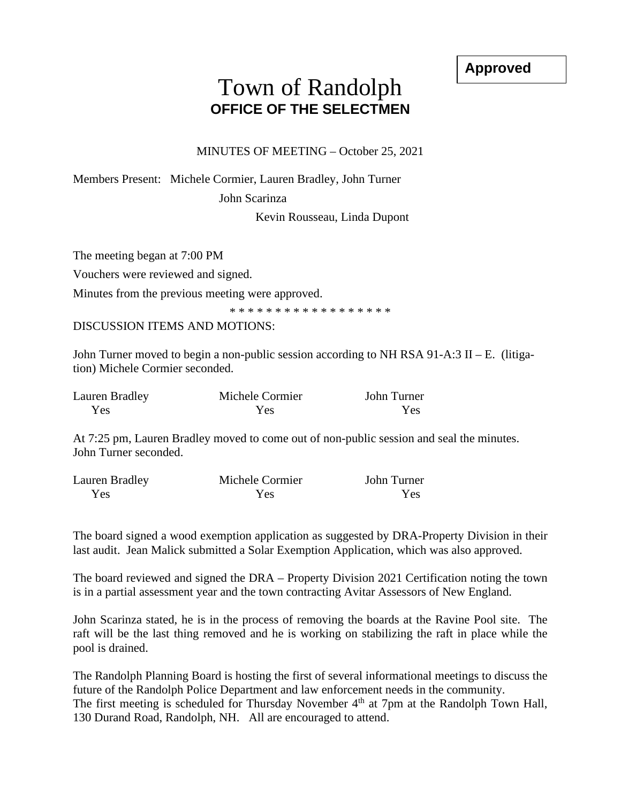**Approved**

## Town of Randolph **OFFICE OF THE SELECTMEN**

MINUTES OF MEETING – October 25, 2021

Members Present: Michele Cormier, Lauren Bradley, John Turner

John Scarinza

Kevin Rousseau, Linda Dupont

The meeting began at 7:00 PM

Vouchers were reviewed and signed.

Minutes from the previous meeting were approved.

\* \* \* \* \* \* \* \* \* \* \* \* \* \* \* \* \*

DISCUSSION ITEMS AND MOTIONS:

John Turner moved to begin a non-public session according to NH RSA 91-A:3 II – E. (litigation) Michele Cormier seconded.

| Lauren Bradley | Michele Cormier | John Turner |
|----------------|-----------------|-------------|
| Yes            | Yes             | Yes.        |

At 7:25 pm, Lauren Bradley moved to come out of non-public session and seal the minutes. John Turner seconded.

| Lauren Bradley | Michele Cormier | John Turner |
|----------------|-----------------|-------------|
| Yes            | Yes.            | Yes         |

The board signed a wood exemption application as suggested by DRA-Property Division in their last audit. Jean Malick submitted a Solar Exemption Application, which was also approved.

The board reviewed and signed the DRA – Property Division 2021 Certification noting the town is in a partial assessment year and the town contracting Avitar Assessors of New England.

John Scarinza stated, he is in the process of removing the boards at the Ravine Pool site. The raft will be the last thing removed and he is working on stabilizing the raft in place while the pool is drained.

The Randolph Planning Board is hosting the first of several informational meetings to discuss the future of the Randolph Police Department and law enforcement needs in the community. The first meeting is scheduled for Thursday November 4<sup>th</sup> at 7pm at the Randolph Town Hall, 130 Durand Road, Randolph, NH. All are encouraged to attend.